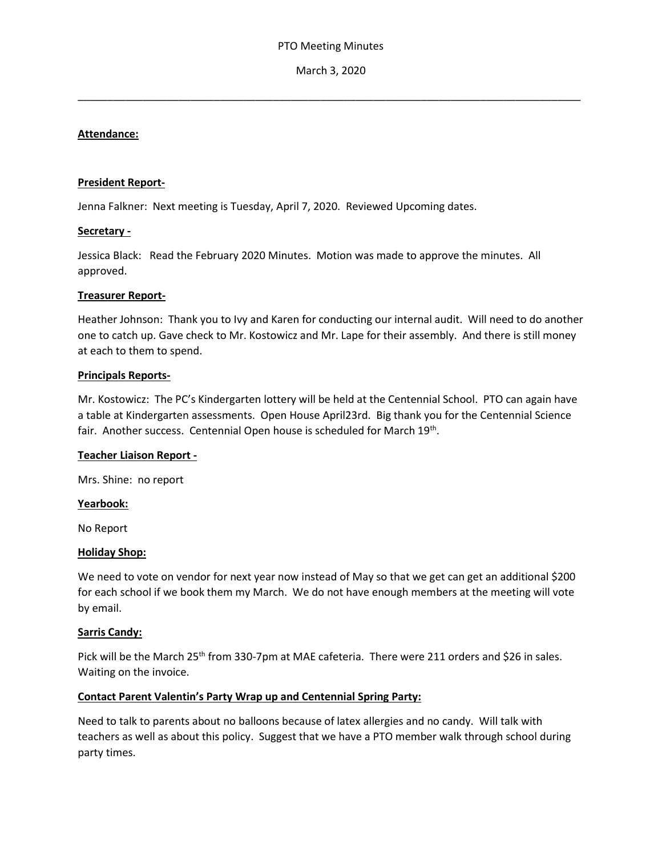\_\_\_\_\_\_\_\_\_\_\_\_\_\_\_\_\_\_\_\_\_\_\_\_\_\_\_\_\_\_\_\_\_\_\_\_\_\_\_\_\_\_\_\_\_\_\_\_\_\_\_\_\_\_\_\_\_\_\_\_\_\_\_\_\_\_\_\_\_\_\_\_\_\_\_\_\_\_\_\_\_\_\_\_\_

### **Attendance:**

#### **President Report-**

Jenna Falkner: Next meeting is Tuesday, April 7, 2020. Reviewed Upcoming dates.

#### **Secretary -**

Jessica Black: Read the February 2020 Minutes. Motion was made to approve the minutes. All approved.

### **Treasurer Report-**

Heather Johnson: Thank you to Ivy and Karen for conducting our internal audit. Will need to do another one to catch up. Gave check to Mr. Kostowicz and Mr. Lape for their assembly. And there is still money at each to them to spend.

#### **Principals Reports-**

Mr. Kostowicz: The PC's Kindergarten lottery will be held at the Centennial School. PTO can again have a table at Kindergarten assessments. Open House April23rd. Big thank you for the Centennial Science fair. Another success. Centennial Open house is scheduled for March 19<sup>th</sup>.

### **Teacher Liaison Report -**

Mrs. Shine: no report

#### **Yearbook:**

No Report

### **Holiday Shop:**

We need to vote on vendor for next year now instead of May so that we get can get an additional \$200 for each school if we book them my March. We do not have enough members at the meeting will vote by email.

### **Sarris Candy:**

Pick will be the March 25<sup>th</sup> from 330-7pm at MAE cafeteria. There were 211 orders and \$26 in sales. Waiting on the invoice.

### **Contact Parent Valentin's Party Wrap up and Centennial Spring Party:**

Need to talk to parents about no balloons because of latex allergies and no candy. Will talk with teachers as well as about this policy. Suggest that we have a PTO member walk through school during party times.